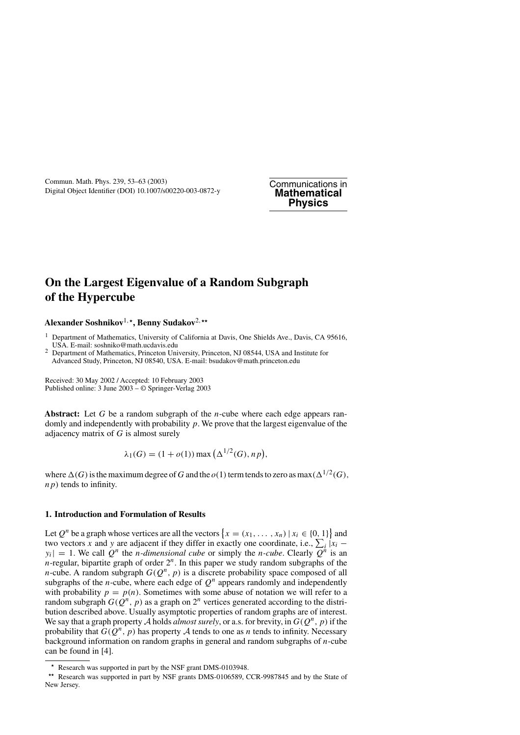# **On the Largest Eigenvalue of a Random Subgraph of the Hypercube**

**Alexander Soshnikov**1*,***, Benny Sudakov**2*,*

<sup>1</sup> Department of Mathematics, University of California at Davis, One Shields Ave., Davis, CA 95616, USA. E-mail: soshniko@math.ucdavis.edu

<sup>2</sup> Department of Mathematics, Princeton University, Princeton, NJ 08544, USA and Institute for Advanced Study, Princeton, NJ 08540, USA. E-mail: bsudakov@math.princeton.edu

Received: 30 May 2002 / Accepted: 10 February 2003 Published online: 3 June 2003 – © Springer-Verlag 2003

**Abstract:** Let *G* be a random subgraph of the *n*-cube where each edge appears randomly and independently with probability *p*. We prove that the largest eigenvalue of the adjacency matrix of *G* is almost surely

$$
\lambda_1(G) = (1 + o(1)) \max \left( \Delta^{1/2}(G), n p \right),
$$

where  $\Delta(G)$  is the maximum degree of *G* and the *o*(1) term tends to zero as max $(\Delta^{1/2}(G),$ *np)* tends to infinity.

## **1. Introduction and Formulation of Results**

Let  $Q^n$  be a graph whose vertices are all the vectors  $\{x = (x_1, \ldots, x_n) \mid x_i \in \{0, 1\}\}\$  and two vectors *x* and *y* are adjacent if they differ in exactly one coordinate, i.e.,  $\sum_i |x_i - x_i|$  $y_i| = 1$ . We call Q<sup>*n*</sup> the *n*-dimensional cube or simply the *n*-cube. Clearly  $\overline{Q}^n$  is an *n*-regular, bipartite graph of order 2*n*. In this paper we study random subgraphs of the *n*-cube. A random subgraph  $G(Q^n, p)$  is a discrete probability space composed of all subgraphs of the *n*-cube, where each edge of  $Q<sup>n</sup>$  appears randomly and independently with probability  $p = p(n)$ . Sometimes with some abuse of notation we will refer to a random subgraph  $G(Q^n, p)$  as a graph on  $2^n$  vertices generated according to the distribution described above. Usually asymptotic properties of random graphs are of interest. We say that a graph property A holds *almost surely*, or a.s. for brevity, in  $G(Q^n, p)$  if the probability that  $G(Q^n, p)$  has property A tends to one as *n* tends to infinity. Necessary background information on random graphs in general and random subgraphs of *n*-cube can be found in [4].

<sup>\*</sup> Research was supported in part by the NSF grant DMS-0103948.<br>\*\* Research was supported in part by NSF grants DMS-0106589, CCR-9987845 and by the State of New Jersey.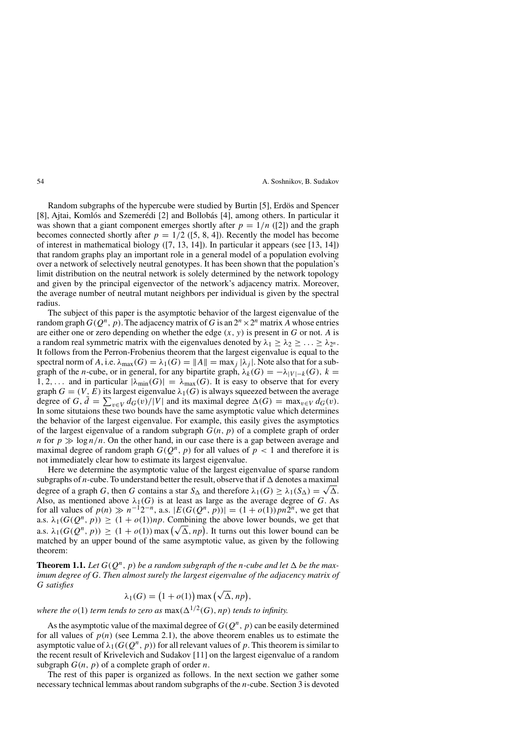Random subgraphs of the hypercube were studied by Burtin [5], Erdös and Spencer [8], Ajtai, Komlós and Szemerédi [2] and Bollobás [4], among others. In particular it was shown that a giant component emerges shortly after  $p = 1/n$  ([2]) and the graph becomes connected shortly after  $p = 1/2$  ([5, 8, 4]). Recently the model has become of interest in mathematical biology ([7, 13, 14]). In particular it appears (see [13, 14]) that random graphs play an important role in a general model of a population evolving over a network of selectively neutral genotypes. It has been shown that the population's limit distribution on the neutral network is solely determined by the network topology and given by the principal eigenvector of the network's adjacency matrix. Moreover, the average number of neutral mutant neighbors per individual is given by the spectral radius.

The subject of this paper is the asymptotic behavior of the largest eigenvalue of the random graph  $G(Q^n, p)$ . The adjacency matrix of *G* is an  $2^n \times 2^n$  matrix *A* whose entries are either one or zero depending on whether the edge  $(x, y)$  is present in *G* or not. *A* is a random real symmetric matrix with the eigenvalues denoted by  $\lambda_1 \geq \lambda_2 \geq \ldots \geq \lambda_{2^n}$ . It follows from the Perron-Frobenius theorem that the largest eigenvalue is equal to the spectral norm of *A*, i.e.  $\lambda_{\text{max}}(G) = \lambda_1(G) = ||A|| = \max_i |\lambda_i|$ . Note also that for a subgraph of the *n*-cube, or in general, for any bipartite graph,  $\lambda_k(G) = -\lambda_{|V| - k}(G)$ ,  $k =$ 1, 2,... and in particular  $|\lambda_{\min}(G)| = \lambda_{\max}(G)$ . It is easy to observe that for every graph  $G = (V, E)$  its largest eigenvalue  $\lambda_1(G)$  is always squeezed between the average degree of *G*,  $\dot{d} = \sum_{v \in V} d_G(v) / |V|$  and its maximal degree  $\Delta(G) = \max_{v \in V} d_G(v)$ . In some situtaions these two bounds have the same asymptotic value which determines the behavior of the largest eigenvalue. For example, this easily gives the asymptotics of the largest eigenvalue of a random subgraph  $G(n, p)$  of a complete graph of order *n* for  $p \gg \log n/n$ . On the other hand, in our case there is a gap between average and maximal degree of random graph  $G(Q^n, p)$  for all values of  $p < 1$  and therefore it is not immediately clear how to estimate its largest eigenvalue.

Here we determine the asymptotic value of the largest eigenvalue of sparse random subgraphs of *n*-cube. To understand better the result, observe that if  $\Delta$  denotes a maximal degree of a graph *G*, then *G* contains a star  $S_\Delta$  and therefore  $\lambda_1(G) \geq \lambda_1(S_\Delta) = \sqrt{\Delta}$ . Also, as mentioned above  $\lambda_1(G)$  is at least as large as the average degree of *G*. As for all values of  $p(n) \gg n^{-1}2^{-n}$ , a.s.  $|E(G(Q^n, p))| = (1 + o(1))pn2^n$ , we get that a.s.  $\lambda_1(G(Q^n, p)) \geq (1 + o(1))np$ . Combining the above lower bounds, we get that a.s.  $\lambda_1(G(Q^n, p)) \ge (1 + o(1))np$ . Combining<br>a.s.  $\lambda_1(G(Q^n, p)) \ge (1 + o(1)) \max (\sqrt{\Delta}, np)$  . It turns out this lower bound can be matched by an upper bound of the same asymptotic value, as given by the following theorem:

**Theorem 1.1.** Let  $G(O^n, p)$  be a random subgraph of the *n*-cube and let  $\Delta$  be the max*imum degree of G. Then almost surely the largest eigenvalue of the adjacency matrix of G satisfies*

$$
\lambda_1(G) = (1 + o(1)) \max (\sqrt{\Delta}, np),
$$

*where the*  $o(1)$  *term tends to zero as*  $max(\Delta^{1/2}(G), np)$  *tends to infinity.* 

As the asymptotic value of the maximal degree of  $G(Q^n, p)$  can be easily determined for all values of  $p(n)$  (see Lemma 2.1), the above theorem enables us to estimate the asymptotic value of  $\lambda_1(G(Q^n, p))$  for all relevant values of p. This theorem is similar to the recent result of Krivelevich and Sudakov [11] on the largest eigenvalue of a random subgraph  $G(n, p)$  of a complete graph of order *n*.

The rest of this paper is organized as follows. In the next section we gather some necessary technical lemmas about random subgraphs of the *n*-cube. Section 3 is devoted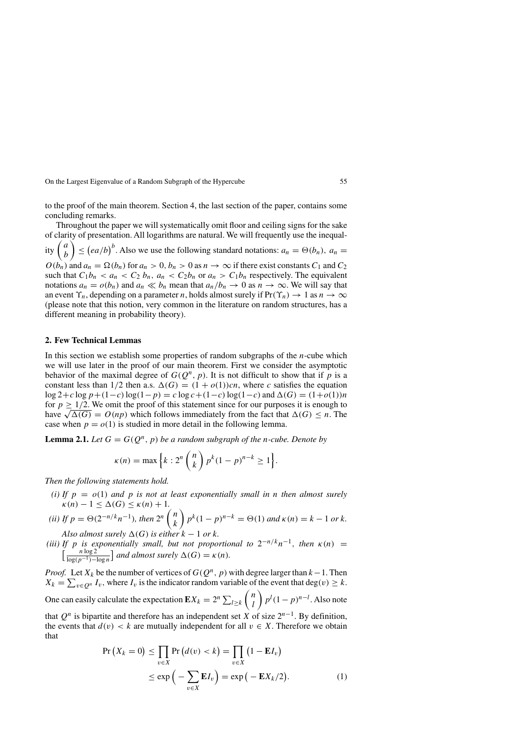to the proof of the main theorem. Section 4, the last section of the paper, contains some concluding remarks.

Throughout the paper we will systematically omit floor and ceiling signs for the sake of clarity of presentation. All logarithms are natural. We will frequently use the inequality  $\begin{pmatrix} a \\ b \end{pmatrix}$  $\left( \begin{array}{c} e \in (ea/b)^b. \end{array} \right)$  Also we use the following standard notations:  $a_n = \Theta(b_n)$ ,  $a_n =$  $O(b_n)$  and  $a_n = \Omega(b_n)$  for  $a_n > 0$ ,  $b_n > 0$  as  $n \to \infty$  if there exist constants  $C_1$  and  $C_2$ such that  $C_1b_n < a_n < C_2b_n$ ,  $a_n < C_2b_n$  or  $a_n > C_1b_n$  respectively. The equivalent notations  $a_n = o(b_n)$  and  $a_n \ll b_n$  mean that  $a_n/b_n \to 0$  as  $n \to \infty$ . We will say that an event  $\Upsilon_n$ , depending on a parameter *n*, holds almost surely if  $Pr(\Upsilon_n) \to 1$  as  $n \to \infty$ (please note that this notion, very common in the literature on random structures, has a different meaning in probability theory).

#### **2. Few Technical Lemmas**

In this section we establish some properties of random subgraphs of the *n*-cube which we will use later in the proof of our main theorem. First we consider the asymptotic behavior of the maximal degree of  $G(Q^n, p)$ . It is not difficult to show that if p is a constant less than  $1/2$  then a.s.  $\Delta(G) = (1 + o(1))cn$ , where *c* satisfies the equation log 2+*c* log *p*+*(*1−*c)*log*(*1−*p)* = *c* log *c*+*(*1−*c)*log*(*1−*c)* and *(G)* = *(*1+*o(*1*))n* for  $p \geq 1/2$ . We omit the proof of this statement since for our purposes it is enough to have  $\sqrt{\Delta(G)} = O(np)$  which follows immediately from the fact that  $\Delta(G) \leq n$ . The case when  $p = o(1)$  is studied in more detail in the following lemma.

**Lemma 2.1.** *Let*  $G = G(Q^n, p)$  *be a random subgraph of the n-cube. Denote by* 

$$
\kappa(n) = \max\left\{k : 2^n \binom{n}{k} p^k (1-p)^{n-k} \ge 1\right\}.
$$

*Then the following statements hold.*

- *(i) If*  $p = o(1)$  *and*  $p$  *is not at least exponentially small in n then almost surely*  $\kappa(n) - 1 \leq \Delta(G) \leq \kappa(n) + 1$ .
- *(ii)* If  $p = \Theta(2^{-n/k}n^{-1})$ *, then*  $2^n \binom{n}{k}$ *k*  $\binom{p^k(1-p)^{n-k}}{p^k(1-p)^{n-k}} = \Theta(1)$  *and*  $\kappa(n) = k - 1$  *or*  $k$ *. Also almost surely*  $\Delta(G)$  *is either*  $k - 1$  *or*  $k$ *.*
- *(iii) If p is exponentially small, but not proportional to*  $2^{-n/k}n^{-1}$ *, then*  $\kappa(n) =$  $\int_{\frac{\ln x}{\ln x}}^{\frac{\pi}{2}} \frac{n \log 2}{1}$  $\frac{n \log 2}{\log(p^{-1}) - \log n}$  and almost surely  $\Delta(G) = \kappa(n)$ *.*

*Proof.* Let  $X_k$  be the number of vertices of  $G(Q^n, p)$  with degree larger than  $k-1$ . Then  $X_k = \sum_{v \in Q^n} I_v$ , where  $I_v$  is the indicator random variable of the event that deg $(v) \geq k$ . *n*

One can easily calculate the expectation  $\mathbf{E}X_k = 2^n \sum_{l \geq k}$ *l*  $\int p^l (1-p)^{n-l}$ . Also note that  $Q^n$  is bipartite and therefore has an independent set *X* of size  $2^{n-1}$ . By definition,

the events that  $d(v) < k$  are mutually independent for all  $v \in X$ . Therefore we obtain that

$$
\Pr\left(X_k = 0\right) \le \prod_{v \in X} \Pr\left(d(v) < k\right) = \prod_{v \in X} \left(1 - \mathbf{E}I_v\right)
$$
\n
$$
\le \exp\left(-\sum_{v \in X} \mathbf{E}I_v\right) = \exp\left(-\mathbf{E}X_k/2\right). \tag{1}
$$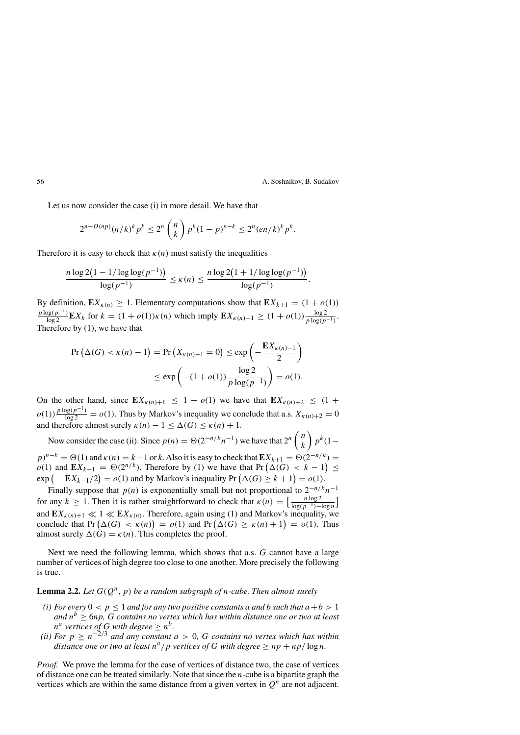Let us now consider the case (i) in more detail. We have that

$$
2^{n-O(np)}(n/k)^k p^k \le 2^n {n \choose k} p^k (1-p)^{n-k} \le 2^n (en/k)^k p^k.
$$

Therefore it is easy to check that  $\kappa(n)$  must satisfy the inequalities

$$
\frac{n \log 2(1 - 1/\log \log (p^{-1}))}{\log (p^{-1})} \le \kappa(n) \le \frac{n \log 2(1 + 1/\log \log (p^{-1}))}{\log (p^{-1})}.
$$

By definition,  $\mathbf{E}X_{k(n)} \geq 1$ . Elementary computations show that  $\mathbf{E}X_{k+1} = (1 + o(1))$  $\frac{p \log(p^{-1})}{\log 2}$ **E***X<sub>k</sub>* for  $k = (1 + o(1))\kappa(n)$  which imply **E***X<sub>κ(n)−1</sub> ≥*  $(1 + o(1)) \frac{\log 2}{p \log(p^{-1})}$ *.* Therefore by (1), we have that

$$
\Pr\left(\Delta(G) < \kappa(n) - 1\right) = \Pr\left(X_{\kappa(n)-1} = 0\right) \le \exp\left(-\frac{\mathbf{E}X_{\kappa(n)-1}}{2}\right)
$$
\n
$$
\le \exp\left(-(1 + o(1))\frac{\log 2}{p\log(p^{-1})}\right) = o(1).
$$

On the other hand, since  $EX_{\kappa(n)+1} \leq 1 + o(1)$  we have that  $EX_{\kappa(n)+2} \leq (1 + o(1))$  $o(1)$ )  $\frac{p \log(p^{-1})}{\log 2} = o(1)$ . Thus by Markov's inequality we conclude that a.s.  $X_{\kappa(n)+2} = 0$ and therefore almost surely  $\kappa(n) - 1 \leq \Delta(G) \leq \kappa(n) + 1$ .

Now consider the case (ii). Since  $p(n) = \Theta(2^{-n/k}n^{-1})$  we have that  $2^n \binom{n}{k}$ *k pk(*1−  $p$ <sup>n−*k*</sup> =  $\Theta(1)$  and  $\kappa(n) = k-1$  or *k*. Also it is easy to check that  $\mathbf{E} X_{k+1} = \Theta(2^{-n/k})$  =  $o(1)$  and  $\mathbf{E}X_{k-1} = \Theta(2^{n/k})$ . Therefore by (1) we have that Pr  $(\Delta(G) < k-1)$  ≤  $\exp(-\mathbf{E}X_{k-1}/2) = o(1)$  and by Markov's inequality Pr  $(\Delta(G) \geq k+1) = o(1)$ .

Finally suppose that *p(n)* is exponentially small but not proportional to 2<sup>−</sup>*n/kn*<sup>−</sup><sup>1</sup> for any  $k \ge 1$ . Then it is rather straightforward to check that  $\kappa(n) = \left[\frac{n \log 2}{\log(n-1)}\right]$  $\frac{n \log 2}{\log (p^{-1}) - \log n}$ and  $EX_{\kappa(n)+1} \ll 1 \ll EX_{\kappa(n)}$ . Therefore, again using (1) and Markov's inequality, we conclude that  $Pr(\Delta(G) < \kappa(n)) = o(1)$  and  $Pr(\Delta(G) \geq \kappa(n) + 1) = o(1)$ . Thus almost surely  $\Delta(G) = \kappa(n)$ . This completes the proof.

Next we need the following lemma, which shows that a.s. *G* cannot have a large number of vertices of high degree too close to one another. More precisely the following is true.

## **Lemma 2.2.** *Let*  $G(Q^n, p)$  *be a random subgraph of n-cube. Then almost surely*

- *(i)* For every  $0 < p \le 1$  *and for any two positive constants a and b such that*  $a + b > 1$ *and*  $n^b \ge 6$ *np*, *G contains no vertex which has within distance one or two at least n*<sup>*a*</sup> *vertices of G with degree*  $\geq n^b$ *.*
- *(ii) For p* ≥ *n*−2*/*<sup>3</sup> *and any constant a >* 0*, G contains no vertex which has within distance one or two at least*  $n^a/p$  *vertices of G with degree*  $\geq np + np/\log n$ *.*

*Proof.* We prove the lemma for the case of vertices of distance two, the case of vertices of distance one can be treated similarly. Note that since the *n*-cube is a bipartite graph the vertices which are within the same distance from a given vertex in  $Q<sup>n</sup>$  are not adjacent.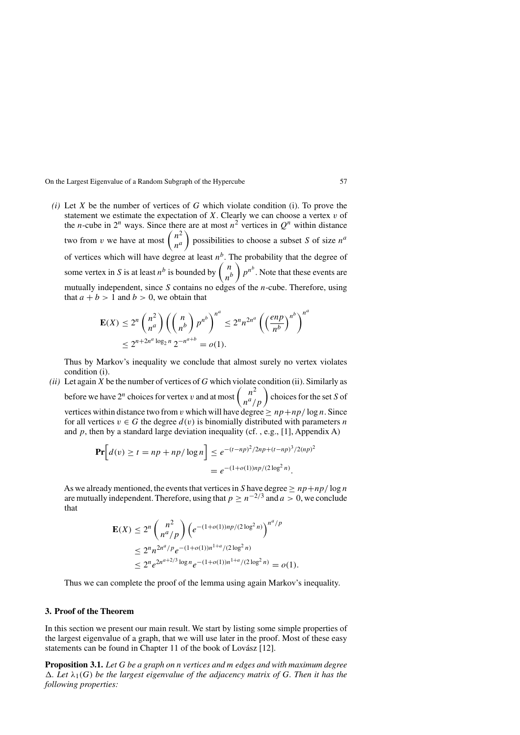*(i)* Let *X* be the number of vertices of *G* which violate condition (i). To prove the statement we estimate the expectation of  $X$ . Clearly we can choose a vertex  $v$  of the *n*-cube in  $2^n$  ways. Since there are at most  $n^2$  vertices in  $O^n$  within distance two from *v* we have at most  $\binom{n^2}{a}$ *na*  $\log n$  possibilities to choose a subset *S* of size  $n^a$ of vertices which will have degree at least  $n<sup>b</sup>$ . The probability that the degree of some vertex in *S* is at least  $n^b$  is bounded by  $\begin{pmatrix} n \\ n^b \end{pmatrix}$  $\int p^{n^b}$ . Note that these events are mutually independent, since *S* contains no edges of the *n*-cube. Therefore, using that  $a + b > 1$  and  $b > 0$ , we obtain that

$$
\mathbf{E}(X) \le 2^n {n^2 \choose n^a} \left( {n \choose n^b} p^{n^b} \right)^{n^a} \le 2^n n^{2n^a} \left( \left( \frac{enp}{n^b} \right)^{n^b} \right)^{n^c}
$$
  

$$
\le 2^{n+2n^a \log_2 n} 2^{-n^{a+b}} = o(1).
$$

Thus by Markov's inequality we conclude that almost surely no vertex violates condition (i).

*(ii)* Let again *X* be the number of vertices of *G* which violate condition (ii). Similarly as before we have 2<sup>*n*</sup> choices for vertex *v* and at most  $\binom{n^2}{n^a/p}$  choices for the set *S* of vertices within distance two from *v* which will have degree  $\geq np + np/\log n$ . Since for all vertices  $v \in G$  the degree  $d(v)$  is binomially distributed with parameters *n* and  $p$ , then by a standard large deviation inequality (cf., e.g., [1], Appendix A)

$$
\Pr\left[d(v) \ge t = np + np/\log n\right] \le e^{-(t - np)^2/2np + (t - np)^3/2(np)^2} = e^{-(1 + o(1))np/(2\log^2 n)}.
$$

As we already mentioned, the events that vertices in *S* have degree  $\geq np + np/\log n$ are mutually independent. Therefore, using that  $p > n^{-2/3}$  and  $a > 0$ , we conclude that

$$
\mathbf{E}(X) \le 2^n \binom{n^2}{n^a/p} \left( e^{-(1+o(1))np/(2\log^2 n)} \right)^{n^a/p}
$$
  
\n
$$
\le 2^n n^{2n^a/p} e^{-(1+o(1))n^{1+a}/(2\log^2 n)}
$$
  
\n
$$
\le 2^n e^{2n^{a+2/3}\log n} e^{-(1+o(1))n^{1+a}/(2\log^2 n)} = o(1).
$$

Thus we can complete the proof of the lemma using again Markov's inequality.

#### **3. Proof of the Theorem**

In this section we present our main result. We start by listing some simple properties of the largest eigenvalue of a graph, that we will use later in the proof. Most of these easy statements can be found in Chapter 11 of the book of Lovász [12].

**Proposition 3.1.** *Let G be a graph on n vertices and m edges and with maximum degree . Let λ*1*(G) be the largest eigenvalue of the adjacency matrix of G. Then it has the following properties:*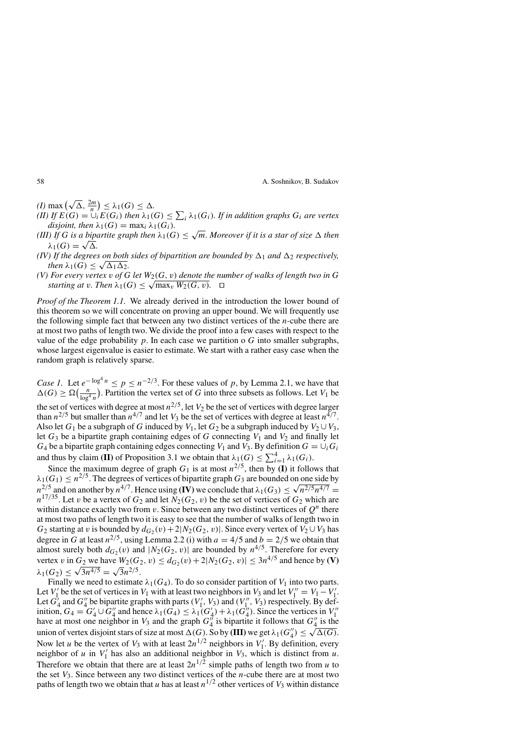$(I)$  max  $(\sqrt{\Delta}, \frac{2m}{n}) \leq \lambda_1(G) \leq \Delta.$ 

- $(H)$  If  $E(G) = \bigcup_{i}^{n} E(G_i)$  then  $\lambda_1(G) \leq \sum_{i} \lambda_1(G_i)$ . If in addition graphs  $G_i$  are vertex *disjoint, then*  $\lambda_1(G) = \max_i \lambda_1(G_i)$ *.*
- *(III) If G is a bipartite graph then*  $\lambda_1(G) \leq \sqrt{m}$ *. Moreover if it is a star of size*  $\Delta$  *then*  $\lambda_1(G) = \sqrt{\Delta}$ .
- *(IV) If the degrees on both sides of bipartition are bounded by*  $\Delta_1$  *and*  $\Delta_2$  *respectively, then*  $\lambda_1(G) \leq \sqrt{\Delta_1 \Delta_2}$ .
- *(V) For every vertex v of G let*  $W_2(G, v)$  *denote the number of walks of length two in G starting at v. Then*  $\lambda_1(G) \leq \sqrt{\max_v W_2(G, v)}$ .  $\Box$

*Proof of the Theorem 1.1.* We already derived in the introduction the lower bound of this theorem so we will concentrate on proving an upper bound. We will frequently use the following simple fact that between any two distinct vertices of the *n*-cube there are at most two paths of length two. We divide the proof into a few cases with respect to the value of the edge probability  $p$ . In each case we partition o  $G$  into smaller subgraphs, whose largest eigenvalue is easier to estimate. We start with a rather easy case when the random graph is relatively sparse.

*Case 1.* Let  $e^{-\log^4 n} \le p \le n^{-2/3}$ . For these values of p, by Lemma 2.1, we have that  $\Delta(G) \geq \Omega(\frac{n}{\log^4 n})$ . Partition the vertex set of *G* into three subsets as follows. Let *V*<sub>1</sub> be the set of vertices with degree at most  $n^{2/5}$ , let  $V_2$  be the set of vertices with degree larger than  $n^{2/5}$  but smaller than  $n^{4/7}$  and let  $V_3$  be the set of vertices with degree at least  $n^{4/7}$ . Also let  $G_1$  be a subgraph of *G* induced by  $V_1$ , let  $G_2$  be a subgraph induced by  $V_2 \cup V_3$ , let  $G_3$  be a bipartite graph containing edges of  $G$  connecting  $V_1$  and  $V_2$  and finally let  $G_4$  be a bipartite graph containing edges connecting  $V_1$  and  $V_3$ . By definition  $G = \bigcup_i G_i$ and thus by claim **(II)** of Proposition 3.1 we obtain that  $\lambda_1(G) \leq \sum_{i=1}^4 \lambda_1(G_i)$ .

Since the maximum degree of graph  $G_1$  is at most  $n^{2/5}$ , then by **(I)** it follows that  $\lambda_1(G_1) \leq n^{2/5}$ . The degrees of vertices of bipartite graph  $G_3$  are bounded on one side by  $n^{2/5}$  and on another by  $n^{4/7}$ . Hence using **(IV)** we conclude that  $\lambda_1(G_3) \le \sqrt{n^{2/5}n^{4/7}} =$  $n^{17/35}$ . Let *v* be a vertex of *G*<sub>2</sub> and let *N*<sub>2</sub>(*G*<sub>2</sub>*, v*) be the set of vertices of *G*<sub>2</sub> which are within distance exactly two from *v*. Since between any two distinct vertices of  $Q^n$  there at most two paths of length two it is easy to see that the number of walks of length two in *G*<sub>2</sub> starting at *v* is bounded by  $d_{G_2}(v) + 2|N_2(G_2, v)|$ . Since every vertex of  $V_2 \cup V_3$  has degree in *G* at least  $n^{2/5}$ , using Lemma 2.2 (i) with  $a = 4/5$  and  $b = 2/5$  we obtain that almost surely both  $d_{G_2}(v)$  and  $|N_2(G_2, v)|$  are bounded by  $n^{4/5}$ . Therefore for every vertex *v* in  $G_2$  we have  $W_2(G_2, v) \leq d_{G_2}(v) + 2|N_2(G_2, v)| \leq 3n^{4/5}$  and hence by **(V)**  $\lambda_1(G_2) \leq \sqrt{3n^{4/5}} = \sqrt{3n^{2/5}}.$ 

Finally we need to estimate  $\lambda_1(G_4)$ . To do so consider partition of  $V_1$  into two parts. Let *V*<sup>1</sup> be the set of vertices in *V*<sub>1</sub> with at least two neighbors in *V*<sub>3</sub> and let  $V_1'' = V_1 - V_1'$ . Let  $G'_4$  and  $G''_4$  be bipartite graphs with parts  $(V'_1, V_3)$  and  $(V''_1, V_3)$  respectively. By definition,  $G_4 = G'_4 \cup G''_4$  and hence  $\lambda_1(G_4) \leq \lambda_1(G'_4) + \lambda_1(G''_4)$ . Since the vertices in  $V'_1$ have at most one neighbor in  $V_3$  and the graph  $G_4^{\prime\prime}$  is bipartite it follows that  $G_4^{\prime\prime}$  is the where at most one neignbor in  $v_3$  and the graph  $\sigma_4$  is orpartie it follows that  $\sigma_4$  is the union of vertex disjoint stars of size at most  $\Delta(G)$ . So by (III) we get  $\lambda_1(G_4') \leq \sqrt{\Delta(G)}$ . Now let *u* be the vertex of *V*<sub>3</sub> with at least  $2n^{1/2}$  neighbors in *V*<sub>1</sub>. By definition, every neighbor of *u* in  $V_1'$  has also an additional neighbor in  $V_3$ , which is distinct from *u*. Therefore we obtain that there are at least  $2n^{1/2}$  simple paths of length two from *u* to the set  $V_3$ . Since between any two distinct vertices of the *n*-cube there are at most two paths of length two we obtain that *u* has at least  $n^{1/2}$  other vertices of  $V_3$  within distance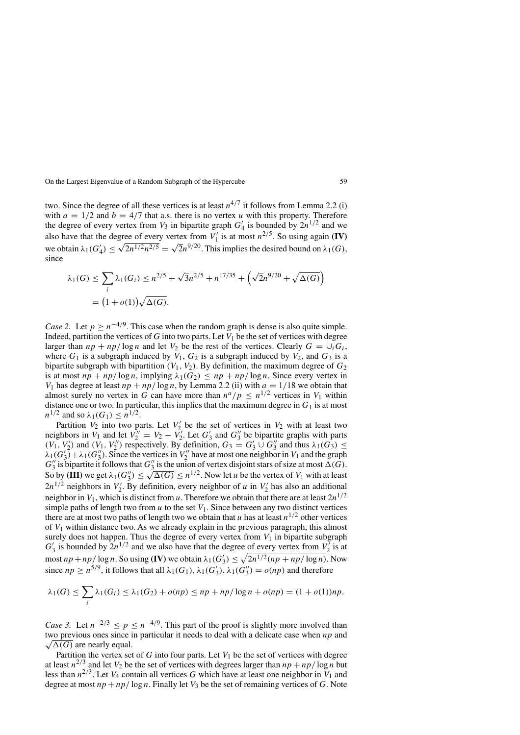two. Since the degree of all these vertices is at least  $n^{4/7}$  it follows from Lemma 2.2 (i) with  $a = 1/2$  and  $b = 4/7$  that a.s. there is no vertex *u* with this property. Therefore the degree of every vertex from  $V_3$  in bipartite graph  $G'_4$  is bounded by  $2n^{1/2}$  and we also have that the degree of every vertex from  $V'_1$  is at most  $n^{2/5}$ . So using again **(IV)** we obtain  $\lambda_1(G'_4) \leq \sqrt{2n^{1/2}n^{2/5}} = \sqrt{2n^{9/20}}$ . This implies the desired bound on  $\lambda_1(G)$ , since

$$
\lambda_1(G) \le \sum_i \lambda_1(G_i) \le n^{2/5} + \sqrt{3}n^{2/5} + n^{17/35} + (\sqrt{2}n^{9/20} + \sqrt{\Delta(G)})
$$
  
=  $(1 + o(1))\sqrt{\Delta(G)}.$ 

*Case 2.* Let  $p \ge n^{-4/9}$ . This case when the random graph is dense is also quite simple. Indeed, partition the vertices of  $G$  into two parts. Let  $V_1$  be the set of vertices with degree larger than  $np + np/\log n$  and let  $V_2$  be the rest of the vertices. Clearly  $G = \bigcup_i G_i$ , where  $G_1$  is a subgraph induced by  $V_1$ ,  $G_2$  is a subgraph induced by  $V_2$ , and  $G_3$  is a bipartite subgraph with bipartition  $(V_1, V_2)$ . By definition, the maximum degree of  $G_2$ is at most  $np + np/\log n$ , implying  $\lambda_1(G_2) \leq np + np/\log n$ . Since every vertex in *V*<sub>1</sub> has degree at least  $np + np/\log n$ , by Lemma 2.2 (ii) with  $a = 1/18$  we obtain that almost surely no vertex in *G* can have more than  $n^a/p \leq n^{1/2}$  vertices in *V*<sub>1</sub> within distance one or two. In particular, this implies that the maximum degree in  $G_1$  is at most  $n^{1/2}$  and so  $\lambda_1(G_1) \leq n^{1/2}$ .

Partition  $V_2$  into two parts. Let  $V_2'$  be the set of vertices in  $V_2$  with at least two neighbors in  $\bar{V}_1$  and let  $\bar{V}_2'' = V_2 - \bar{V}_2'$ . Let  $G_3'$  and  $G_3''$  be bipartite graphs with parts  $(V_1, V_2')$  and  $(V_1, V_2'')$  respectively. By definition,  $G_3 = G_3' \cup G_3''$  and thus  $\lambda_1(G_3) \leq$  $\lambda_1(G'_3) + \lambda_1(G''_3)$ . Since the vertices in  $V''_2$  have at most one neighbor in  $V_1$  and the graph  $G''_3$  is bipartite it follows that  $G''_3$  is the union of vertex disjoint stars of size at most  $\Delta(G)$ .  $G_3$  is originate it follows that  $G_3$  is the union of vertex disjoint stars of size at most  $\Delta(G)$ .<br>So by (III) we get  $\lambda_1(G_3') \le \sqrt{\Delta(G)} \le n^{1/2}$ . Now let *u* be the vertex of  $V_1$  with at least  $2n^{1/2}$  neighbors in  $V'_2$ . By definition, every neighbor of *u* in  $V'_2$  has also an additional neighbor in *V*<sub>1</sub>, which is distinct from *u*. Therefore we obtain that there are at least  $2n^{1/2}$ simple paths of length two from  $u$  to the set  $V_1$ . Since between any two distinct vertices there are at most two paths of length two we obtain that *u* has at least  $n^{1/2}$  other vertices of *V*<sup>1</sup> within distance two. As we already explain in the previous paragraph, this almost surely does not happen. Thus the degree of every vertex from  $V_1$  in bipartite subgraph  $G'_3$  is bounded by  $2n^{1/2}$  and we also have that the degree of every vertex from  $V'_2$  is at most  $np + np/\log n$ . So using **(IV)** we obtain  $\lambda_1(G_3') \leq \sqrt{2n^{1/2}(np + np/\log n)}$ . Now since  $np \ge n^{5/9}$ , it follows that all  $\lambda_1(G_1), \lambda_1(G_3'), \lambda_1(G_3'') = o(np)$  and therefore

$$
\lambda_1(G) \leq \sum_i \lambda_1(G_i) \leq \lambda_1(G_2) + o(np) \leq np + np/\log n + o(np) = (1 + o(1))np.
$$

*Case 3.* Let  $n^{-2/3} \le p \le n^{-4/9}$ . This part of the proof is slightly more involved than √ two previous ones since in particular it needs to deal with a delicate case when *np* and  $\sqrt{\Delta(G)}$  are nearly equal.

Partition the vertex set of  $G$  into four parts. Let  $V_1$  be the set of vertices with degree at least  $n^{2/3}$  and let  $V_2$  be the set of vertices with degrees larger than  $np + np/\log n$  but less than  $n^{2/3}$ . Let  $V_4$  contain all vertices *G* which have at least one neighbor in  $V_1$  and degree at most  $np + np/\log n$ . Finally let  $V_3$  be the set of remaining vertices of *G*. Note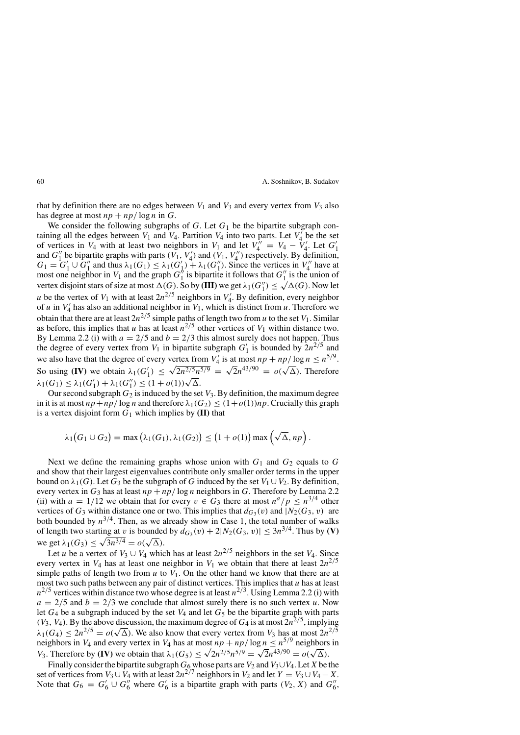that by definition there are no edges between  $V_1$  and  $V_3$  and every vertex from  $V_3$  also has degree at most  $np + np/\log n$  in *G*.

We consider the following subgraphs of  $G$ . Let  $G_1$  be the bipartite subgraph containing all the edges between  $V_1$  and  $V_4$ . Partition  $V_4$  into two parts. Let  $V_4$  be the set of vertices in  $V_4$  with at least two neighbors in  $V_1$  and let  $V_4^{\prime\prime} = V_4 - V_4^{\prime}$ . Let  $G_1^{\prime}$ and  $G''_1$  be bipartite graphs with parts  $(V_1, V_4')$  and  $(V_1, V_4'')$  respectively. By definition,  $G_1 = G_1' \cup G_1''$  and thus  $\lambda_1(G_1) \leq \lambda_1(G_1') + \lambda_1(G_1'')$ . Since the vertices in  $V_4''$  have at most one neighbor in  $V_1$  and the graph  $G_1^h$  is bipartite it follows that  $G_1^h$  is the union of wertex disjoint stars of size at most  $\Delta(G)$ . So by **(III)** we get  $\lambda_1(G_1') \leq \sqrt{\Delta(G)}$ . Now let *u* be the vertex of  $V_1$  with at least  $2n^{2/5}$  neighbors in  $V'_4$ . By definition, every neighbor of *u* in  $V_4$  has also an additional neighbor in  $V_1$ , which is distinct from *u*. Therefore we obtain that there are at least  $2n^{2/5}$  simple paths of length two from *u* to the set  $V_1$ . Similar as before, this implies that *u* has at least  $n^{2/5}$  other vertices of  $V_1$  within distance two. By Lemma 2.2 (i) with  $a = 2/5$  and  $b = 2/3$  this almost surely does not happen. Thus the degree of every vertex from  $V_1$  in bipartite subgraph  $G'_1$  is bounded by  $2n^{2/5}$  and we also have that the degree of every vertex from  $V'_4$  is at most  $np + np/\log n \le n^{5/9}$ . So using **(IV)** we obtain  $\lambda_1(G'_1) \leq \sqrt{2n^{2/5}n^{5/9}} = \sqrt{2n^{43/90}} = o(\sqrt{\Delta})$ . Therefore  $\lambda_1(G_1) \leq \lambda_1(G'_1) + \lambda_1(G''_1) \leq (1 + o(1))\sqrt{\Delta}$ .

Our second subgraph  $G_2$  is induced by the set  $V_3$ . By definition, the maximum degree in it is at most  $np + np/\log n$  and therefore  $\lambda_1(G_2) \leq (1 + o(1))np$ . Crucially this graph is a vertex disjoint form  $G_1$  which implies by  $(II)$  that

$$
\lambda_1(G_1 \cup G_2) = \max\left(\lambda_1(G_1), \lambda_1(G_2)\right) \leq \left(1 + o(1)\right) \max\left(\sqrt{\Delta}, np\right).
$$

Next we define the remaining graphs whose union with  $G_1$  and  $G_2$  equals to  $G$ and show that their largest eigenvalues contribute only smaller order terms in the upper bound on  $\lambda_1(G)$ . Let *G*<sub>3</sub> be the subgraph of *G* induced by the set *V*<sub>1</sub> ∪ *V*<sub>2</sub>. By definition, every vertex in  $G_3$  has at least  $np + np/\log n$  neighbors in *G*. Therefore by Lemma 2.2 (ii) with  $a = 1/12$  we obtain that for every  $v \in G_3$  there at most  $n^a/p \leq n^{3/4}$  other vertices of  $G_3$  within distance one or two. This implies that  $d_{G_3}(v)$  and  $|N_2(G_3, v)|$  are both bounded by  $n^{3/4}$ . Then, as we already show in Case 1, the total number of walks of length two starting at *v* is bounded by  $d_{G_3}(v) + 2|N_2(G_3, v)| \leq 3n^{3/4}$ . Thus by **(V)**  $\alpha$  is bounded<br>we get  $\lambda_1(G_3)$  ≤  $\sqrt{3n^{3/4}} = o(\sqrt{\Delta}).$ 

Let *u* be a vertex of  $V_3 \cup V_4$  which has at least  $2n^{2/5}$  neighbors in the set  $V_4$ . Since every vertex in  $V_4$  has at least one neighbor in  $V_1$  we obtain that there at least  $2n^{2/5}$ simple paths of length two from  $u$  to  $V_1$ . On the other hand we know that there are at most two such paths between any pair of distinct vertices. This implies that *u* has at least  $n^{2/5}$  vertices within distance two whose degree is at least  $n^{2/3}$ . Using Lemma 2.2 (i) with  $a = 2/5$  and  $b = 2/3$  we conclude that almost surely there is no such vertex *u*. Now let  $G_4$  be a subgraph induced by the set  $V_4$  and let  $G_5$  be the bipartite graph with parts  $(V_3, V_4)$ . By the above discussion, the maximum degree of  $G_4$  is at most  $2n^{2/5}$ , implying  $\lambda_1(G_4) \leq 2n^{2/5} = o(\sqrt{\Delta})$ . We also know that every vertex from *V*<sub>3</sub> has at most  $2n^{2/5}$ neighbors in *V*<sub>4</sub> and every vertex in *V*<sub>4</sub> has at most  $np + np/\log n \le n^{5/9}$  neighbors in *V*<sub>3</sub>. Therefore by **(IV)** we obtain that  $\lambda_1(G_5) \leq \sqrt{2n^{2/5}n^{5/9}} = \sqrt{2n^{43/90}} = o(\sqrt{\Delta})$ .

Finally consider the bipartite subgraph  $G_6$  whose parts are  $V_2$  and  $V_3 \cup V_4$ . Let *X* be the set of vertices from  $V_3 \cup V_4$  with at least  $2n^{2/7}$  neighbors in  $V_2$  and let  $Y = V_3 \cup V_4 - X$ . Note that  $G_6 = G'_6 \cup G''_6$  where  $G'_6$  is a bipartite graph with parts  $(V_2, X)$  and  $G''_6$ ,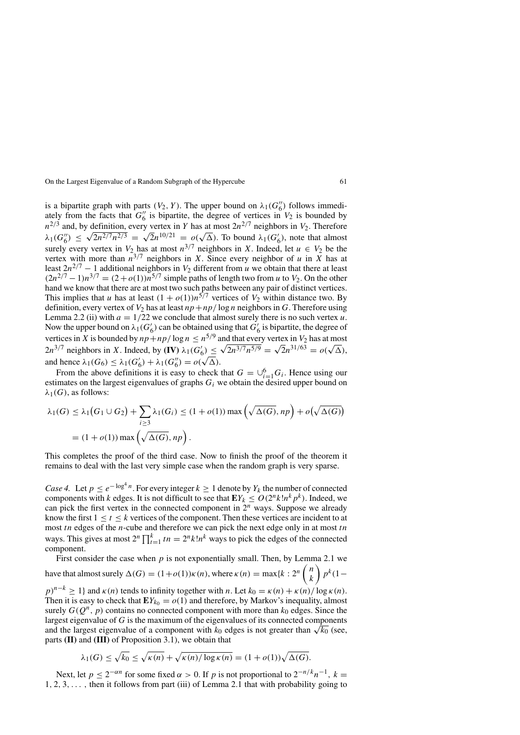is a bipartite graph with parts *(V*<sub>2</sub>*, Y*). The upper bound on  $\lambda_1(G_6'')$  follows immediately from the facts that  $G_6''$  is bipartite, the degree of vertices in  $V_2$  is bounded by  $n^{2/3}$  and, by definition, every vertex in *Y* has at most  $2n^{2/7}$  neighbors in *V*<sub>2</sub>. Therefore  $\lambda_1(G_6'') \leq \sqrt{2n^{2/7}n^{2/3}} = \sqrt{2n^{10/21}} = o(\sqrt{\Delta})$ . To bound  $\lambda_1(G_6')$ , note that almost surely every vertex in  $V_2$  has at most  $n^{3/7}$  neighbors in *X*. Indeed, let  $u \in V_2$  be the vertex with more than  $n^{3/7}$  neighbors in *X*. Since every neighbor of *u* in *X* has at least  $2n^{2/7} - 1$  additional neighbors in  $V_2$  different from *u* we obtain that there at least  $(2n^{2/7} - 1)n^{3/7} = (2 + o(1))n^{5/7}$  simple paths of length two from *u* to *V*<sub>2</sub>. On the other hand we know that there are at most two such paths between any pair of distinct vertices. This implies that *u* has at least  $(1 + o(1))n^{5/7}$  vertices of  $V_2$  within distance two. By definition, every vertex of  $V_2$  has at least  $np + np/\log n$  neighbors in *G*. Therefore using Lemma 2.2 (ii) with  $a = 1/22$  we conclude that almost surely there is no such vertex  $u$ . Now the upper bound on  $\lambda_1(G'_6)$  can be obtained using that  $G'_6$  is bipartite, the degree of vertices in *X* is bounded by  $np + np/\log n \le n^{5/9}$  and that every vertex in  $V_2$  has at most vertices in *X* is bounded by  $np + np/log n \le n^{2/3}$  and that every vertex in  $V_2$  has at most  $2n^{3/7}$  neighbors in *X*. Indeed, by **(IV)**  $\lambda_1(G'_6) \le \sqrt{2n^{3/7}n^{5/9}} = \sqrt{2}n^{31/63} = o(\sqrt{\Delta})$ , and hence  $\lambda_1(G_6) \leq \lambda_1(G'_6) + \lambda_1(G''_6) = o(\sqrt{\Delta})$ .

From the above definitions it is easy to check that  $G = \bigcup_{i=1}^{6} G_i$ . Hence using our estimates on the largest eigenvalues of graphs *Gi* we obtain the desired upper bound on  $\lambda_1(G)$ , as follows:

$$
\lambda_1(G) \le \lambda_1\big(G_1 \cup G_2\big) + \sum_{i \ge 3} \lambda_1(G_i) \le (1 + o(1)) \max\left(\sqrt{\Delta(G)}, np\right) + o\big(\sqrt{\Delta(G)}\big)
$$
  
=  $(1 + o(1)) \max\left(\sqrt{\Delta(G)}, np\right)$ .

This completes the proof of the third case. Now to finish the proof of the theorem it remains to deal with the last very simple case when the random graph is very sparse.

*Case 4.* Let  $p \le e^{-\log^4 n}$ . For every integer  $k \ge 1$  denote by  $Y_k$  the number of connected components with *k* edges. It is not difficult to see that  $EY_k \leq O(2^n k! n^k p^k)$ . Indeed, we can pick the first vertex in the connected component in 2*<sup>n</sup>* ways. Suppose we already know the first  $1 \le t \le k$  vertices of the component. Then these vertices are incident to at most *tn* edges of the *n*-cube and therefore we can pick the next edge only in at most *tn* ways. This gives at most  $2^n \prod_{t=1}^k tn = 2^n k! n^k$  ways to pick the edges of the connected component.

First consider the case when *p* is not exponentially small. Then, by Lemma 2.1 we have that almost surely  $\Delta(G) = (1+o(1))\kappa(n)$ , where  $\kappa(n) = \max\{k : 2^n \binom{n}{k}\}$ *k pk(*1−

 $p)^{n-k} \ge 1$ } and  $\kappa(n)$  tends to infinity together with *n*. Let  $k_0 = \kappa(n) + \kappa(n)/\log \kappa(n)$ . Then it is easy to check that  $EY_{k_0} = o(1)$  and therefore, by Markov's inequality, almost surely  $G(Q^n, p)$  contains no connected component with more than  $k_0$  edges. Since the largest eigenvalue of *G* is the maximum of the eigenvalues of its connected components and the largest eigenvalue of a component with  $k_0$  edges is not greater than  $\sqrt{k_0}$  (see, parts **(II)** and **(III)** of Proposition 3.1), we obtain that

$$
\lambda_1(G) \le \sqrt{k_0} \le \sqrt{\kappa(n)} + \sqrt{\kappa(n)/\log \kappa(n)} = (1 + o(1))\sqrt{\Delta(G)}.
$$

Next, let  $p \le 2^{-\alpha n}$  for some fixed  $\alpha > 0$ . If p is not proportional to  $2^{-n/k}n^{-1}$ ,  $k =$ 1*,* 2*,* 3*,... ,* then it follows from part (iii) of Lemma 2.1 that with probability going to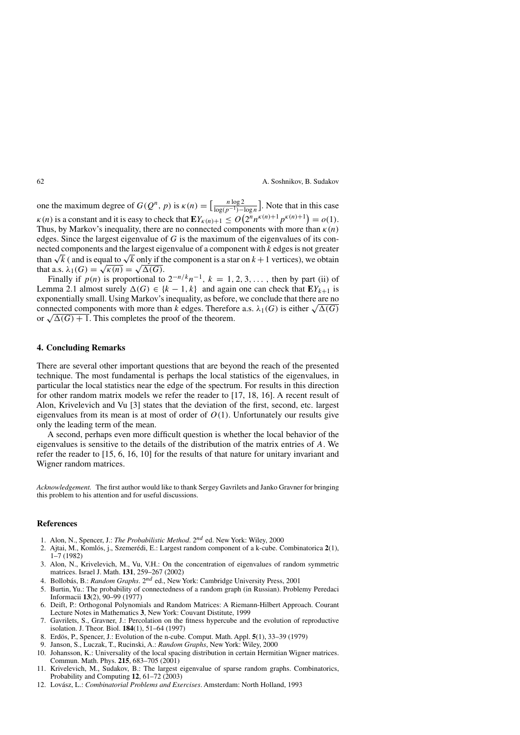one the maximum degree of  $G(Q^n, p)$  is  $\kappa(n) = \left[\frac{n \log 2}{\log(n-1)}\right]$  $\frac{n \log 2}{\log (p^{-1}) - \log n}$ . Note that in this case  $k(n)$  is a constant and it is easy to check that  $\mathbf{E}Y_{k(n)+1} \le O\left(2^n n^{\kappa(n)+1} p^{\kappa(n)+1}\right) = o(1)$ . Thus, by Markov's inequality, there are no connected components with more than  $\kappa(n)$ edges. Since the largest eigenvalue of *G* is the maximum of the eigenvalues of its connected components and the largest eigenvalue of a component with *k* edges is not greater than  $\sqrt{k}$  ( and is equal to  $\sqrt{k}$  only if the component is a star on  $k+1$  vertices), we obtain that a.s.  $\lambda_1(G) = \sqrt{\kappa(n)} = \sqrt{\Delta(G)}$ .

Finally if  $p(n)$  is proportional to  $2^{-n/k}n^{-1}$ ,  $k = 1, 2, 3, \ldots$ , then by part (ii) of Lemma 2.1 almost surely  $\Delta(G)$  ∈ { $k - 1, k$ } and again one can check that  $EY_{k+1}$  is exponentially small. Using Markov's inequality, as before, we conclude that there are no connected components with more than *k* edges. Therefore a.s.  $\lambda_1(G)$  is either  $\sqrt{\Delta(G)}$ or  $\sqrt{\Delta(G)} + 1$ . This completes the proof of the theorem.

### **4. Concluding Remarks**

There are several other important questions that are beyond the reach of the presented technique. The most fundamental is perhaps the local statistics of the eigenvalues, in particular the local statistics near the edge of the spectrum. For results in this direction for other random matrix models we refer the reader to [17, 18, 16]. A recent result of Alon, Krivelevich and Vu [3] states that the deviation of the first, second, etc. largest eigenvalues from its mean is at most of order of  $O(1)$ . Unfortunately our results give only the leading term of the mean.

A second, perhaps even more difficult question is whether the local behavior of the eigenvalues is sensitive to the details of the distribution of the matrix entries of *A.* We refer the reader to [15, 6, 16, 10] for the results of that nature for unitary invariant and Wigner random matrices.

*Acknowledgement.* The first author would like to thank Sergey Gavrilets and Janko Gravner for bringing this problem to his attention and for useful discussions.

## **References**

- 1. Alon, N., Spencer, J.: *The Probabilistic Method*. 2*nd* ed. New York: Wiley, 2000
- 2. Ajtai, M., Komlós, j., Szemerédi, E.: Largest random component of a k-cube. Combinatorica 2(1), 1–7 (1982)
- 3. Alon, N., Krivelevich, M., Vu, V.H.: On the concentration of eigenvalues of random symmetric matrices. Israel J. Math. **131**, 259–267 (2002)
- 4. Bollobás, B.: *Random Graphs*. 2<sup>nd</sup> ed., New York: Cambridge University Press, 2001
- 5. Burtin, Yu.: The probability of connectedness of a random graph (in Russian). Problemy Peredaci Informacii **13**(2), 90–99 (1977)
- 6. Deift, P.: Orthogonal Polynomials and Random Matrices: A Riemann-Hilbert Approach. Courant Lecture Notes in Mathematics **3**, New York: Couvant Distitute, 1999
- 7. Gavrilets, S., Gravner, J.: Percolation on the fitness hypercube and the evolution of reproductive isolation. J. Theor. Biol. **184**(1), 51–64 (1997)
- 8. Erdös, P., Spencer, J.: Evolution of the n-cube. Comput. Math. Appl. **5**(1), 33–39 (1979)
- 9. Janson, S., Luczak, T., Rucinski, A.: *Random Graphs*, New York: Wiley, 2000
- 10. Johansson, K.: Universality of the local spacing distribution in certain Hermitian Wigner matrices. Commun. Math. Phys. **215**, 683–705 (2001)
- 11. Krivelevich, M., Sudakov, B.: The largest eigenvalue of sparse random graphs. Combinatorics, Probability and Computing **12**, 61–72 (2003)
- 12. Lovász, L.: *Combinatorial Problems and Exercises*. Amsterdam: North Holland, 1993